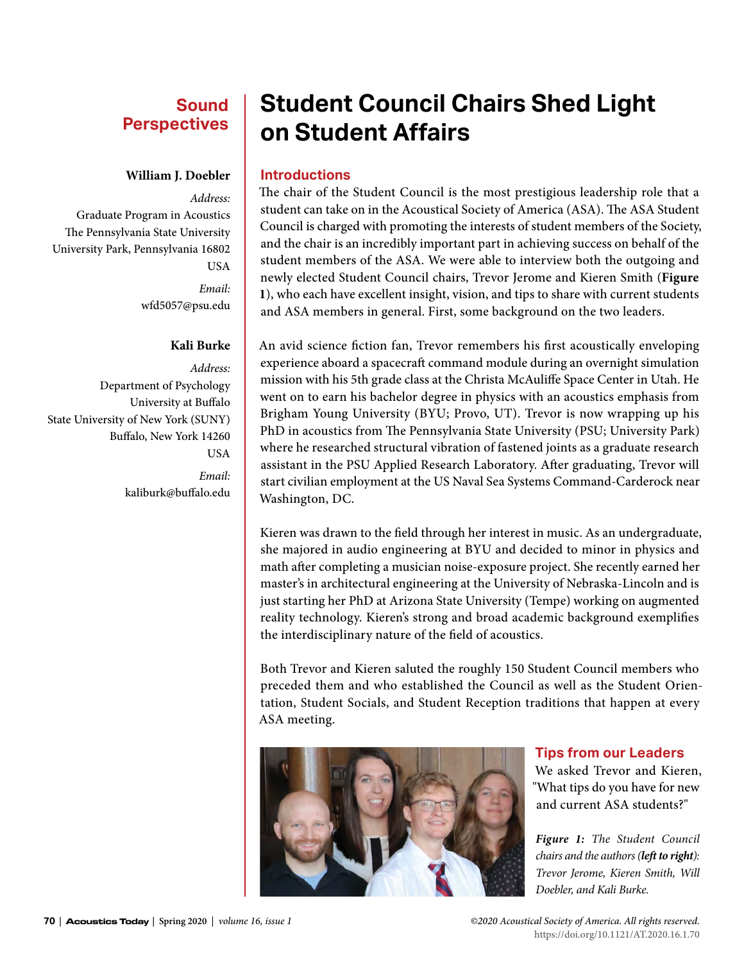## **Sound Perspectives**

#### **William J. Doebler**

*Address:* Graduate Program in Acoustics The Pennsylvania State University University Park, Pennsylvania 16802 USA *Email:* wfd5057@psu.edu

#### **Kali Burke**

*Address:* Department of Psychology University at Buffalo State University of New York (SUNY) Buffalo, New York 14260 **USA** 

*Email:* kaliburk@buffalo.edu

# **Student Council Chairs Shed Light on Student Affairs**

#### **Introductions**

The chair of the Student Council is the most prestigious leadership role that a student can take on in the Acoustical Society of America (ASA). The ASA Student Council is charged with promoting the interests of student members of the Society, and the chair is an incredibly important part in achieving success on behalf of the student members of the ASA. We were able to interview both the outgoing and newly elected Student Council chairs, Trevor Jerome and Kieren Smith (**Figure 1**), who each have excellent insight, vision, and tips to share with current students and ASA members in general. First, some background on the two leaders.

An avid science fiction fan, Trevor remembers his first acoustically enveloping experience aboard a spacecraft command module during an overnight simulation mission with his 5th grade class at the Christa McAuliffe Space Center in Utah. He went on to earn his bachelor degree in physics with an acoustics emphasis from Brigham Young University (BYU; Provo, UT). Trevor is now wrapping up his PhD in acoustics from The Pennsylvania State University (PSU; University Park) where he researched structural vibration of fastened joints as a graduate research assistant in the PSU Applied Research Laboratory. After graduating, Trevor will start civilian employment at the US Naval Sea Systems Command-Carderock near Washington, DC.

Kieren was drawn to the field through her interest in music. As an undergraduate, she majored in audio engineering at BYU and decided to minor in physics and math after completing a musician noise-exposure project. She recently earned her master's in architectural engineering at the University of Nebraska-Lincoln and is just starting her PhD at Arizona State University (Tempe) working on augmented reality technology. Kieren's strong and broad academic background exemplifies the interdisciplinary nature of the field of acoustics.

Both Trevor and Kieren saluted the roughly 150 Student Council members who preceded them and who established the Council as well as the Student Orientation, Student Socials, and Student Reception traditions that happen at every ASA meeting.



#### **Tips from our Leaders**

We asked Trevor and Kieren, "What tips do you have for new and current ASA students?"

*Figure 1: The Student Council chairs and the authors (left to right): Trevor Jerome, Kieren Smith, Will Doebler, and Kali Burke.*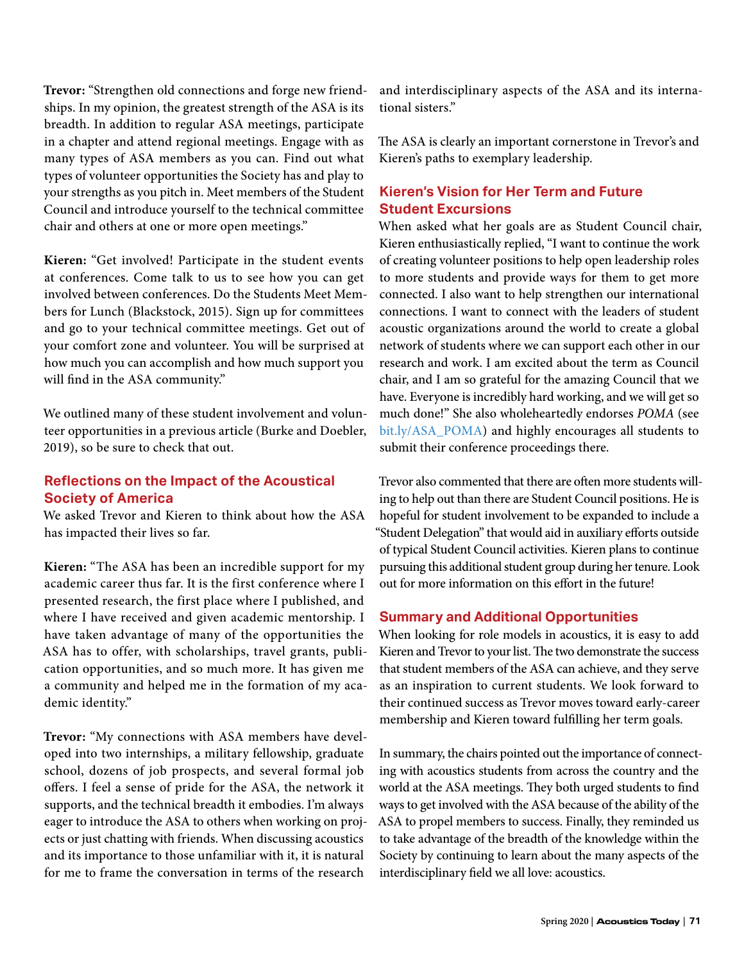**Trevor:** "Strengthen old connections and forge new friendships. In my opinion, the greatest strength of the ASA is its breadth. In addition to regular ASA meetings, participate in a chapter and attend regional meetings. Engage with as many types of ASA members as you can. Find out what types of volunteer opportunities the Society has and play to your strengths as you pitch in. Meet members of the Student Council and introduce yourself to the technical committee chair and others at one or more open meetings."

**Kieren:** "Get involved! Participate in the student events at conferences. Come talk to us to see how you can get involved between conferences. Do the Students Meet Members for Lunch (Blackstock, 2015). Sign up for committees and go to your technical committee meetings. Get out of your comfort zone and volunteer. You will be surprised at how much you can accomplish and how much support you will find in the ASA community."

We outlined many of these student involvement and volunteer opportunities in a previous article (Burke and Doebler, 2019), so be sure to check that out.

## **Reflections on the Impact of the Acoustical Society of America**

We asked Trevor and Kieren to think about how the ASA has impacted their lives so far.

**Kieren:** "The ASA has been an incredible support for my academic career thus far. It is the first conference where I presented research, the first place where I published, and where I have received and given academic mentorship. I have taken advantage of many of the opportunities the ASA has to offer, with scholarships, travel grants, publication opportunities, and so much more. It has given me a community and helped me in the formation of my academic identity."

**Trevor:** "My connections with ASA members have developed into two internships, a military fellowship, graduate school, dozens of job prospects, and several formal job offers. I feel a sense of pride for the ASA, the network it supports, and the technical breadth it embodies. I'm always eager to introduce the ASA to others when working on projects or just chatting with friends. When discussing acoustics and its importance to those unfamiliar with it, it is natural for me to frame the conversation in terms of the research

and interdisciplinary aspects of the ASA and its international sisters."

The ASA is clearly an important cornerstone in Trevor's and Kieren's paths to exemplary leadership.

### **Kieren's Vision for Her Term and Future Student Excursions**

When asked what her goals are as Student Council chair, Kieren enthusiastically replied, "I want to continue the work of creating volunteer positions to help open leadership roles to more students and provide ways for them to get more connected. I also want to help strengthen our international connections. I want to connect with the leaders of student acoustic organizations around the world to create a global network of students where we can support each other in our research and work. I am excited about the term as Council chair, and I am so grateful for the amazing Council that we have. Everyone is incredibly hard working, and we will get so much done!" She also wholeheartedly endorses *POMA* (see [bit.ly/ASA\\_POMA](http://bit.ly/ASA_POMA)) and highly encourages all students to submit their conference proceedings there.

Trevor also commented that there are often more students willing to help out than there are Student Council positions. He is hopeful for student involvement to be expanded to include a "Student Delegation" that would aid in auxiliary efforts outside of typical Student Council activities. Kieren plans to continue pursuing this additional student group during her tenure. Look out for more information on this effort in the future!

#### **Summary and Additional Opportunities**

When looking for role models in acoustics, it is easy to add Kieren and Trevor to your list. The two demonstrate the success that student members of the ASA can achieve, and they serve as an inspiration to current students. We look forward to their continued success as Trevor moves toward early-career membership and Kieren toward fulfilling her term goals.

In summary, the chairs pointed out the importance of connecting with acoustics students from across the country and the world at the ASA meetings. They both urged students to find ways to get involved with the ASA because of the ability of the ASA to propel members to success. Finally, they reminded us to take advantage of the breadth of the knowledge within the Society by continuing to learn about the many aspects of the interdisciplinary field we all love: acoustics.